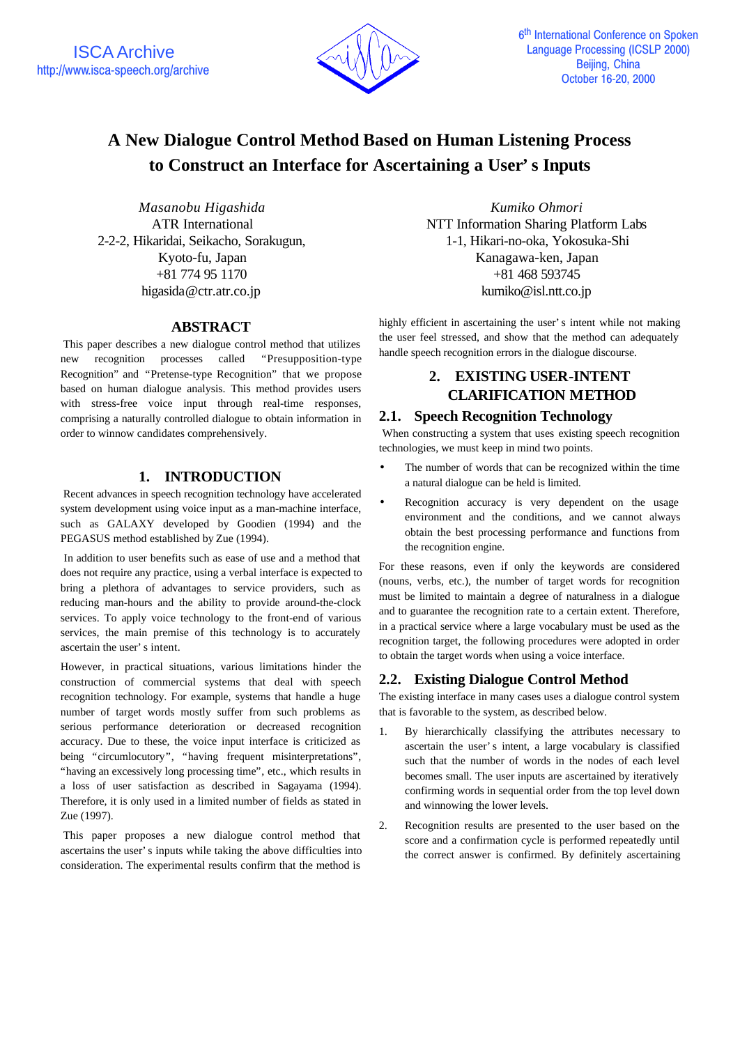

# **A New Dialogue Control Method Based on Human Listening Process to Construct an Interface for Ascertaining a User's Inputs**

*Masanobu Higashida* ATR International 2-2-2, Hikaridai, Seikacho, Sorakugun, Kyoto-fu, Japan +81 774 95 1170 higasida@ctr.atr.co.jp

### **ABSTRACT**

This paper describes a new dialogue control method that utilizes new recognition processes called "Presupposition-type Recognition" and "Pretense-type Recognition" that we propose based on human dialogue analysis. This method provides users with stress-free voice input through real-time responses, comprising a naturally controlled dialogue to obtain information in order to winnow candidates comprehensively.

# **1. INTRODUCTION**

Recent advances in speech recognition technology have accelerated system development using voice input as a man-machine interface, such as GALAXY developed by Goodien (1994) and the PEGASUS method established by Zue (1994).

 In addition to user benefits such as ease of use and a method that does not require any practice, using a verbal interface is expected to bring a plethora of advantages to service providers, such as reducing man-hours and the ability to provide around-the-clock services. To apply voice technology to the front-end of various services, the main premise of this technology is to accurately ascertain the user's intent.

However, in practical situations, various limitations hinder the construction of commercial systems that deal with speech recognition technology. For example, systems that handle a huge number of target words mostly suffer from such problems as serious performance deterioration or decreased recognition accuracy. Due to these, the voice input interface is criticized as being "circumlocutory", "having frequent misinterpretations", "having an excessively long processing time", etc., which results in a loss of user satisfaction as described in Sagayama (1994). Therefore, it is only used in a limited number of fields as stated in Zue (1997).

This paper proposes a new dialogue control method that ascertains the user's inputs while taking the above difficulties into consideration. The experimental results confirm that the method is

*Kumiko Ohmori* NTT Information Sharing Platform Labs 1-1, Hikari-no-oka, Yokosuka-Shi Kanagawa-ken, Japan +81 468 593745 kumiko@isl.ntt.co.jp

highly efficient in ascertaining the user's intent while not making the user feel stressed, and show that the method can adequately handle speech recognition errors in the dialogue discourse.

# **2. EXISTING USER-INTENT CLARIFICATION METHOD**

# **2.1. Speech Recognition Technology**

 When constructing a system that uses existing speech recognition technologies, we must keep in mind two points.

- The number of words that can be recognized within the time a natural dialogue can be held is limited.
- Recognition accuracy is very dependent on the usage environment and the conditions, and we cannot always obtain the best processing performance and functions from the recognition engine.

For these reasons, even if only the keywords are considered (nouns, verbs, etc.), the number of target words for recognition must be limited to maintain a degree of naturalness in a dialogue and to guarantee the recognition rate to a certain extent. Therefore, in a practical service where a large vocabulary must be used as the recognition target, the following procedures were adopted in order to obtain the target words when using a voice interface.

## **2.2. Existing Dialogue Control Method**

The existing interface in many cases uses a dialogue control system that is favorable to the system, as described below.

- 1. By hierarchically classifying the attributes necessary to ascertain the user's intent, a large vocabulary is classified such that the number of words in the nodes of each level becomes small. The user inputs are ascertained by iteratively confirming words in sequential order from the top level down and winnowing the lower levels.
- 2. Recognition results are presented to the user based on the score and a confirmation cycle is performed repeatedly until the correct answer is confirmed. By definitely ascertaining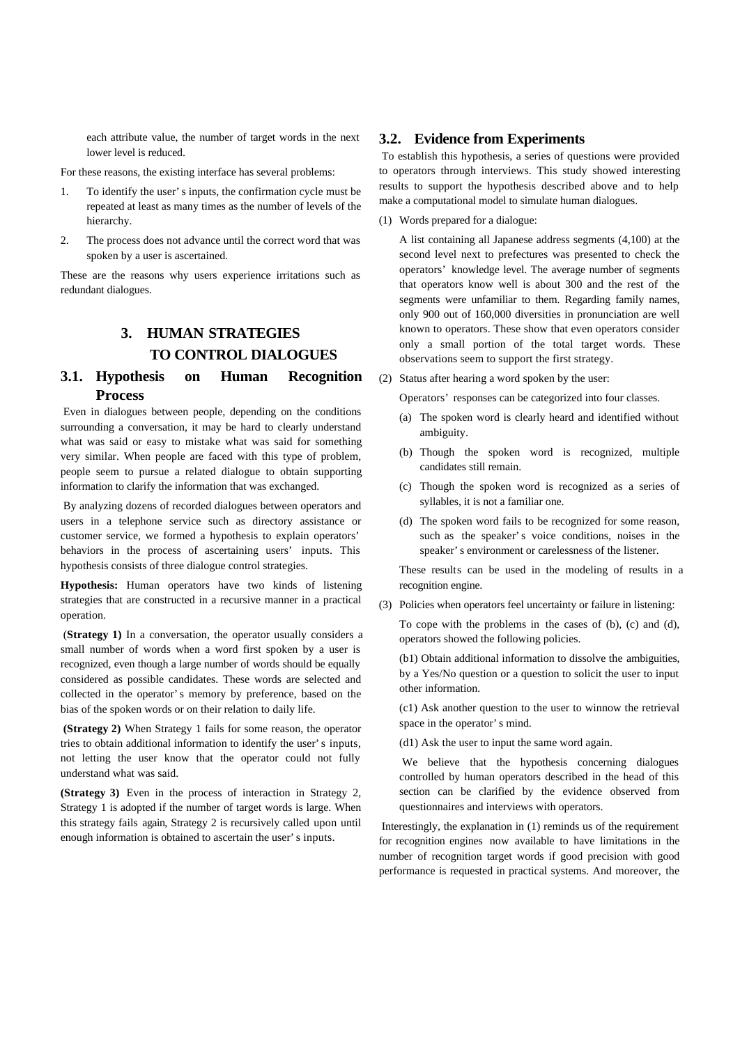each attribute value, the number of target words in the next lower level is reduced.

For these reasons, the existing interface has several problems:

- 1. To identify the user's inputs, the confirmation cycle must be repeated at least as many times as the number of levels of the hierarchy.
- 2. The process does not advance until the correct word that was spoken by a user is ascertained.

These are the reasons why users experience irritations such as redundant dialogues.

# **3. HUMAN STRATEGIES TO CONTROL DIALOGUES**

# **3.1. Hypothesis on Human Recognition Process**

Even in dialogues between people, depending on the conditions surrounding a conversation, it may be hard to clearly understand what was said or easy to mistake what was said for something very similar. When people are faced with this type of problem, people seem to pursue a related dialogue to obtain supporting information to clarify the information that was exchanged.

By analyzing dozens of recorded dialogues between operators and users in a telephone service such as directory assistance or customer service, we formed a hypothesis to explain operators' behaviors in the process of ascertaining users' inputs. This hypothesis consists of three dialogue control strategies.

**Hypothesis:** Human operators have two kinds of listening strategies that are constructed in a recursive manner in a practical operation.

 (**Strategy 1)** In a conversation, the operator usually considers a small number of words when a word first spoken by a user is recognized, even though a large number of words should be equally considered as possible candidates. These words are selected and collected in the operator's memory by preference, based on the bias of the spoken words or on their relation to daily life.

 **(Strategy 2)** When Strategy 1 fails for some reason, the operator tries to obtain additional information to identify the user's inputs, not letting the user know that the operator could not fully understand what was said.

**(Strategy 3)** Even in the process of interaction in Strategy 2, Strategy 1 is adopted if the number of target words is large. When this strategy fails again, Strategy 2 is recursively called upon until enough information is obtained to ascertain the user's inputs.

#### **3.2. Evidence from Experiments**

To establish this hypothesis, a series of questions were provided to operators through interviews. This study showed interesting results to support the hypothesis described above and to help make a computational model to simulate human dialogues.

(1) Words prepared for a dialogue:

A list containing all Japanese address segments (4,100) at the second level next to prefectures was presented to check the operators' knowledge level. The average number of segments that operators know well is about 300 and the rest of the segments were unfamiliar to them. Regarding family names, only 900 out of 160,000 diversities in pronunciation are well known to operators. These show that even operators consider only a small portion of the total target words. These observations seem to support the first strategy.

(2) Status after hearing a word spoken by the user:

Operators' responses can be categorized into four classes.

- (a) The spoken word is clearly heard and identified without ambiguity.
- (b) Though the spoken word is recognized, multiple candidates still remain.
- (c) Though the spoken word is recognized as a series of syllables, it is not a familiar one.
- (d) The spoken word fails to be recognized for some reason, such as the speaker's voice conditions, noises in the speaker's environment or carelessness of the listener.

These results can be used in the modeling of results in a recognition engine.

(3) Policies when operators feel uncertainty or failure in listening:

To cope with the problems in the cases of (b), (c) and (d), operators showed the following policies.

(b1) Obtain additional information to dissolve the ambiguities, by a Yes/No question or a question to solicit the user to input other information.

(c1) Ask another question to the user to winnow the retrieval space in the operator's mind.

(d1) Ask the user to input the same word again.

We believe that the hypothesis concerning dialogues controlled by human operators described in the head of this section can be clarified by the evidence observed from questionnaires and interviews with operators.

Interestingly, the explanation in (1) reminds us of the requirement for recognition engines now available to have limitations in the number of recognition target words if good precision with good performance is requested in practical systems. And moreover, the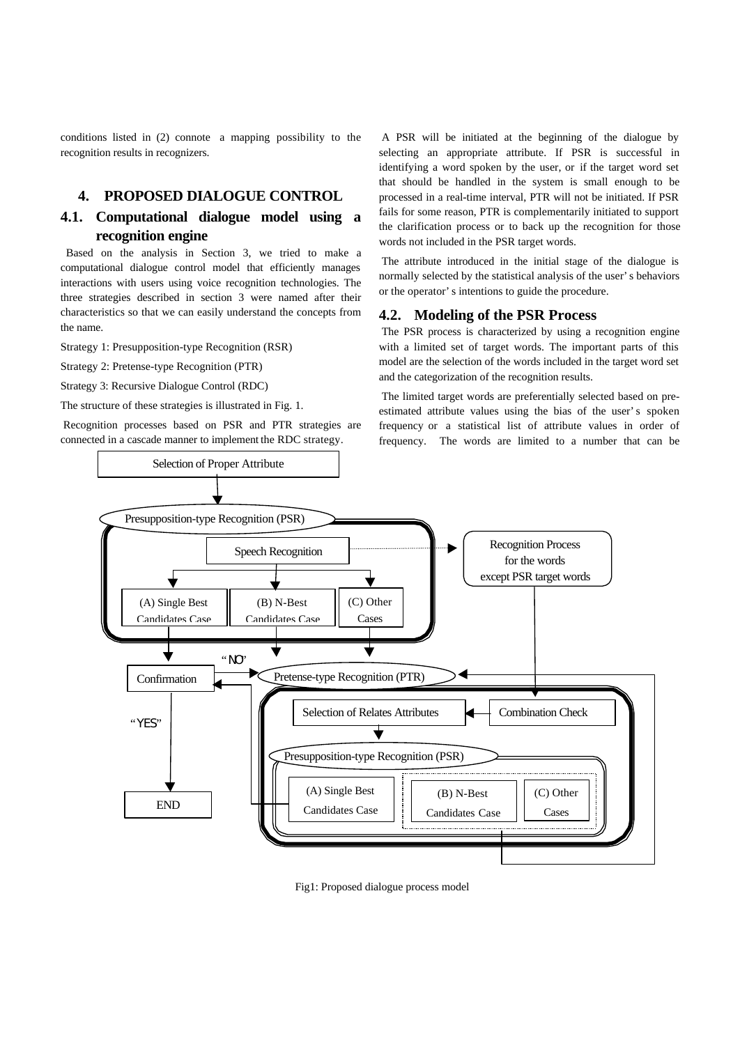conditions listed in (2) connote a mapping possibility to the recognition results in recognizers.

## **4. PROPOSED DIALOGUE CONTROL**

# **4.1. Computational dialogue model using a recognition engine**

 Based on the analysis in Section 3, we tried to make a computational dialogue control model that efficiently manages interactions with users using voice recognition technologies. The three strategies described in section 3 were named after their characteristics so that we can easily understand the concepts from the name.

Strategy 1: Presupposition-type Recognition (RSR)

Strategy 2: Pretense-type Recognition (PTR)

Strategy 3: Recursive Dialogue Control (RDC)

The structure of these strategies is illustrated in Fig. 1.

Recognition processes based on PSR and PTR strategies are connected in a cascade manner to implement the RDC strategy.

A PSR will be initiated at the beginning of the dialogue by selecting an appropriate attribute. If PSR is successful in identifying a word spoken by the user, or if the target word set that should be handled in the system is small enough to be processed in a real-time interval, PTR will not be initiated. If PSR fails for some reason, PTR is complementarily initiated to support the clarification process or to back up the recognition for those words not included in the PSR target words.

The attribute introduced in the initial stage of the dialogue is normally selected by the statistical analysis of the user's behaviors or the operator's intentions to guide the procedure.

#### **4.2. Modeling of the PSR Process**

The PSR process is characterized by using a recognition engine with a limited set of target words. The important parts of this model are the selection of the words included in the target word set and the categorization of the recognition results.

The limited target words are preferentially selected based on preestimated attribute values using the bias of the user's spoken frequency or a statistical list of attribute values in order of frequency. The words are limited to a number that can be



Fig1: Proposed dialogue process model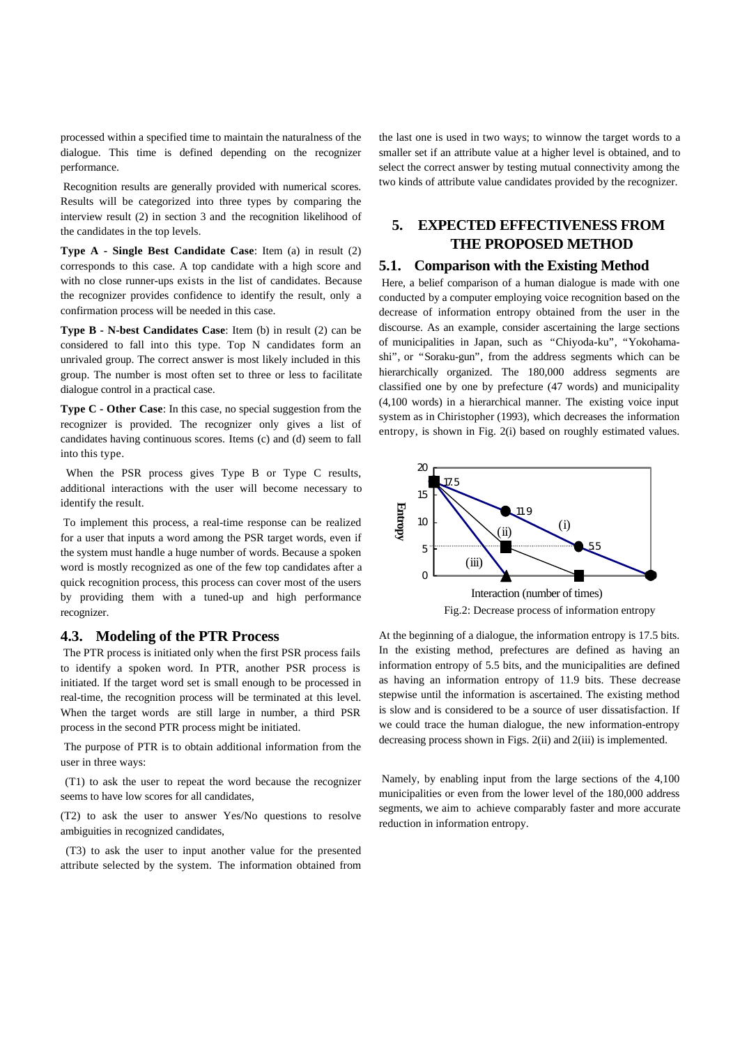processed within a specified time to maintain the naturalness of the dialogue. This time is defined depending on the recognizer performance.

Recognition results are generally provided with numerical scores. Results will be categorized into three types by comparing the interview result (2) in section 3 and the recognition likelihood of the candidates in the top levels.

**Type A - Single Best Candidate Case**: Item (a) in result (2) corresponds to this case. A top candidate with a high score and with no close runner-ups exists in the list of candidates. Because the recognizer provides confidence to identify the result, only a confirmation process will be needed in this case.

**Type B - N-best Candidates Case**: Item (b) in result (2) can be considered to fall into this type. Top N candidates form an unrivaled group. The correct answer is most likely included in this group. The number is most often set to three or less to facilitate dialogue control in a practical case.

**Type C - Other Case**: In this case, no special suggestion from the recognizer is provided. The recognizer only gives a list of candidates having continuous scores. Items (c) and (d) seem to fall into this type.

When the PSR process gives Type B or Type C results, additional interactions with the user will become necessary to identify the result.

To implement this process, a real-time response can be realized for a user that inputs a word among the PSR target words, even if the system must handle a huge number of words. Because a spoken word is mostly recognized as one of the few top candidates after a quick recognition process, this process can cover most of the users by providing them with a tuned-up and high performance recognizer.

#### **4.3. Modeling of the PTR Process**

The PTR process is initiated only when the first PSR process fails to identify a spoken word. In PTR, another PSR process is initiated. If the target word set is small enough to be processed in real-time, the recognition process will be terminated at this level. When the target words are still large in number, a third PSR process in the second PTR process might be initiated.

 The purpose of PTR is to obtain additional information from the user in three ways:

 (T1) to ask the user to repeat the word because the recognizer seems to have low scores for all candidates,

(T2) to ask the user to answer Yes/No questions to resolve ambiguities in recognized candidates,

 (T3) to ask the user to input another value for the presented attribute selected by the system. The information obtained from

the last one is used in two ways; to winnow the target words to a smaller set if an attribute value at a higher level is obtained, and to select the correct answer by testing mutual connectivity among the two kinds of attribute value candidates provided by the recognizer.

# **5. EXPECTED EFFECTIVENESS FROM THE PROPOSED METHOD**

#### **5.1. Comparison with the Existing Method**

Here, a belief comparison of a human dialogue is made with one conducted by a computer employing voice recognition based on the decrease of information entropy obtained from the user in the discourse. As an example, consider ascertaining the large sections of municipalities in Japan, such as "Chiyoda-ku", "Yokohamashi", or "Soraku-gun", from the address segments which can be hierarchically organized. The 180,000 address segments are classified one by one by prefecture (47 words) and municipality (4,100 words) in a hierarchical manner. The existing voice input system as in Chiristopher (1993), which decreases the information entropy, is shown in Fig. 2(i) based on roughly estimated values.



Fig.2: Decrease process of information entropy

At the beginning of a dialogue, the information entropy is 17.5 bits. In the existing method, prefectures are defined as having an information entropy of 5.5 bits, and the municipalities are defined as having an information entropy of 11.9 bits. These decrease stepwise until the information is ascertained. The existing method is slow and is considered to be a source of user dissatisfaction. If we could trace the human dialogue, the new information-entropy decreasing process shown in Figs. 2(ii) and 2(iii) is implemented.

Namely, by enabling input from the large sections of the 4,100 municipalities or even from the lower level of the 180,000 address segments, we aim to achieve comparably faster and more accurate reduction in information entropy.